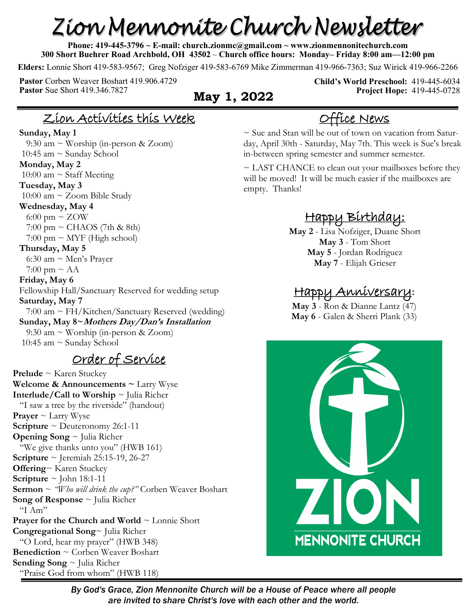# Zion Mennonite Church Newsletter

**Phone: 419-445-3796 ~ E-mail: church.zionmc@gmail.com ~ www.zionmennonitechurch.com 300 Short Buehrer Road Archbold, OH 43502** ~ **Church office hours: Monday– Friday 8:00 am—12:00 pm** 

**Elders:** Lonnie Short 419-583-9567; Greg Nofziger 419-583-6769 Mike Zimmerman 419-966-7363; Suz Wirick 419-966-2266

**Pastor** Corben Weaver Boshart 419.906.4729 **Pastor** Sue Short 419.346.7827 **May 1, 2022** 

**Child's World Preschool:** 419-445-6034 **Project Hope:** 419-445-0728

## Zion Activities this Week

#### **Sunday, May 1**

 9:30 am ~ Worship (in-person & Zoom) 10:45 am  $\sim$  Sunday School **Monday, May 2**  10:00 am  $\sim$  Staff Meeting **Tuesday, May 3** 10:00 am  $\sim$  Zoom Bible Study **Wednesday, May 4** 6:00 pm  $\sim$  ZOW  $7:00 \text{ pm} \sim \text{CHAOS}$  (7th & 8th)  $7:00 \text{ pm} \sim \text{MYF}$  (High school) **Thursday, May 5** 6:30 am  $\sim$  Men's Prayer 7:00 pm  $\sim$  AA **Friday, May 6** Fellowship Hall/Sanctuary Reserved for wedding setup **Saturday, May 7** 7:00 am ~ FH/Kitchen/Sanctuary Reserved (wedding) **Sunday, May 8~Mothers Day/Dan's Installation** 9:30 am ~ Worship (in-person & Zoom) 10:45 am ~ Sunday School

#### Order of Service

**Prelude** ~ Karen Stuckey **Welcome & Announcements ~** Larry Wyse **Interlude/Call to Worship** ~ Julia Richer "I saw a tree by the riverside" (handout) **Prayer** ~ Larry Wyse **Scripture** ~ Deuteronomy 26:1-11 **Opening Song** ~ Julia Richer "We give thanks unto you" (HWB 161) **Scripture** ~ Jeremiah 25:15-19, 26-27 **Offering**~ Karen Stuckey **Scripture**  $\sim$  John 18:1-11 **Sermon** ~ *"Who will drink the cup?"* Corben Weaver Boshart **Song of Response** ~ Julia Richer "I Am" **Prayer for the Church and World** ~ Lonnie Short **Congregational Song**~ Julia Richer "O Lord, hear my prayer" (HWB 348) **Benediction** ~ Corben Weaver Boshart **Sending Song** ~ Julia Richer "Praise God from whom" (HWB 118)

# Office News

 $\sim$  Sue and Stan will be out of town on vacation from Saturday, April 30th - Saturday, May 7th. This week is Sue's break in-between spring semester and summer semester.

~ LAST CHANCE to clean out your mailboxes before they will be moved! It will be much easier if the mailboxes are empty. Thanks!

# Happy Birthday:

**May 2** - Lisa Nofziger, Duane Short **May 3** - Tom Short **May 5** - Jordan Rodriguez **May 7** - Elijah Grieser

#### Happy Anniversary**:**

**May 3** - Ron & Dianne Lantz (47) **May 6** - Galen & Sherri Plank (33)



*By God's Grace, Zion Mennonite Church will be a House of Peace where all people are invited to share Christ's love with each other and the world.*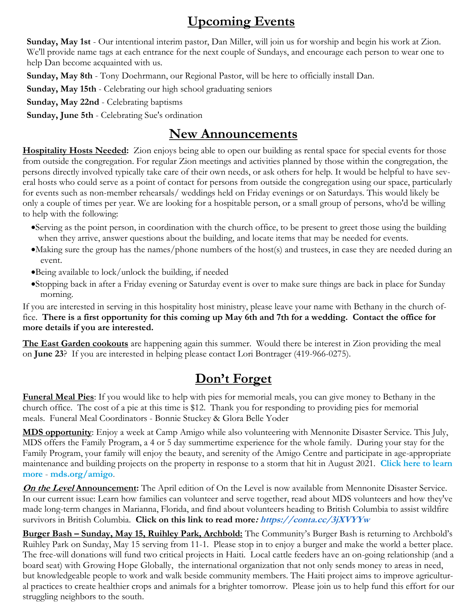# **Upcoming Events**

**Sunday, May 1st** - Our intentional interim pastor, Dan Miller, will join us for worship and begin his work at Zion. We'll provide name tags at each entrance for the next couple of Sundays, and encourage each person to wear one to help Dan become acquainted with us.

**Sunday, May 8th** - Tony Doehrmann, our Regional Pastor, will be here to officially install Dan.

**Sunday, May 15th** - Celebrating our high school graduating seniors

**Sunday, May 22nd** - Celebrating baptisms

**Sunday, June 5th** - Celebrating Sue's ordination

#### **New Announcements**

**Hospitality Hosts Needed:** Zion enjoys being able to open our building as rental space for special events for those from outside the congregation. For regular Zion meetings and activities planned by those within the congregation, the persons directly involved typically take care of their own needs, or ask others for help. It would be helpful to have several hosts who could serve as a point of contact for persons from outside the congregation using our space, particularly for events such as non-member rehearsals/ weddings held on Friday evenings or on Saturdays. This would likely be only a couple of times per year. We are looking for a hospitable person, or a small group of persons, who'd be willing to help with the following:

- •Serving as the point person, in coordination with the church office, to be present to greet those using the building when they arrive, answer questions about the building, and locate items that may be needed for events.
- •Making sure the group has the names/phone numbers of the host(s) and trustees, in case they are needed during an event.
- •Being available to lock/unlock the building, if needed
- •Stopping back in after a Friday evening or Saturday event is over to make sure things are back in place for Sunday morning.

If you are interested in serving in this hospitality host ministry, please leave your name with Bethany in the church office. **There is a first opportunity for this coming up May 6th and 7th for a wedding. Contact the office for more details if you are interested.**

**The East Garden cookouts** are happening again this summer. Would there be interest in Zion providing the meal on **June 23**? If you are interested in helping please contact Lori Bontrager (419-966-0275).

# **Don't Forget**

**Funeral Meal Pies**: If you would like to help with pies for memorial meals, you can give money to Bethany in the church office. The cost of a pie at this time is \$12. Thank you for responding to providing pies for memorial meals. Funeral Meal Coordinators - Bonnie Stuckey & Glora Belle Yoder

**MDS opportunity**: Enjoy a week at Camp Amigo while also volunteering with Mennonite Disaster Service. This July, MDS offers the Family Program, a 4 or 5 day summertime experience for the whole family. During your stay for the Family Program, your family will enjoy the beauty, and serenity of the Amigo Centre and participate in age-appropriate maintenance and building projects on the property in response to a storm that hit in August 2021. **[Click here to learn](https://r20.rs6.net/tn.jsp?f=001or7sGEo_Ipy5aSA-NsD6PdT8uGJTpgMd7XbQuPvbHFRuJ6wNZeZt7o4Zayd4wY-zodDgzWwwKFCYLnwEqEpLz0tK4sBala5OLPM6KzC0TKgu31z60qXVcKPIzdsulEhQFKVED-gU9hINB7fAZZfdxullx-tJgSRoIHatKe2WY9JP9Jym-FPMzVCfnVuzsbzC_kLMsVq8wfuu75rwXi1x2QMNUX2AUkADshy)  [more](https://r20.rs6.net/tn.jsp?f=001or7sGEo_Ipy5aSA-NsD6PdT8uGJTpgMd7XbQuPvbHFRuJ6wNZeZt7o4Zayd4wY-zodDgzWwwKFCYLnwEqEpLz0tK4sBala5OLPM6KzC0TKgu31z60qXVcKPIzdsulEhQFKVED-gU9hINB7fAZZfdxullx-tJgSRoIHatKe2WY9JP9Jym-FPMzVCfnVuzsbzC_kLMsVq8wfuu75rwXi1x2QMNUX2AUkADshy)** - **[mds.org/amigo](https://r20.rs6.net/tn.jsp?f=001or7sGEo_Ipy5aSA-NsD6PdT8uGJTpgMd7XbQuPvbHFRuJ6wNZeZt7o4Zayd4wY-zEgHHSogF1mn9r6VCCkqjoiln2Iad5hSU1RAAs9MJQ0gFXWPPpOMyuHQok6Ryjiv_vTBNMCO5s74=&c=2CqHXWF3piOQxVEfWU8aax-a9RCUdcgByZpwDFQgp2xwNUz7nrCwHA==&ch=mXtT7fcKpQmsnwSkBeAZdOmy)**.

**On the Level Announcement:** The April edition of On the Level is now available from Mennonite Disaster Service. In our current issue: Learn how families can volunteer and serve together, read about MDS volunteers and how they've made long-term changes in Marianna, Florida, and find about volunteers heading to British Columbia to assist wildfire survivors in British Columbia. **Click on this link to read more: [https://conta.cc/3jXVYYw](https://r20.rs6.net/tn.jsp?f=001GCPWA_x4_dl7UJAFmb_RcuJJMNGJqgqkaTQ63zvIImbIO_R5fZIVqBoc82gnFfw2mJNYG0fFtdI5DrUbxoKe35n6KmilLZF0988E2R5KacQzB2_aUpjXUCZ6p2b9MjwFVfDaKV8aFNtMiahIFmC67A==&c=_CIg8se21PSRHjwsXbKyKu2i9KbbosDg6B-sEK3g_b6KxFU8G0cjsQ==&ch=CtRvpDQOI2Qs)**

**Burger Bash – Sunday, May 15, Ruihley Park, Archbold:** The Community's Burger Bash is returning to Archbold's Ruihley Park on Sunday, May 15 serving from 11-1. Please stop in to enjoy a burger and make the world a better place. The free-will donations will fund two critical projects in Haiti. Local cattle feeders have an on-going relationship (and a board seat) with Growing Hope Globally, the international organization that not only sends money to areas in need, but knowledgeable people to work and walk beside community members. The Haiti project aims to improve agricultural practices to create healthier crops and animals for a brighter tomorrow. Please join us to help fund this effort for our struggling neighbors to the south.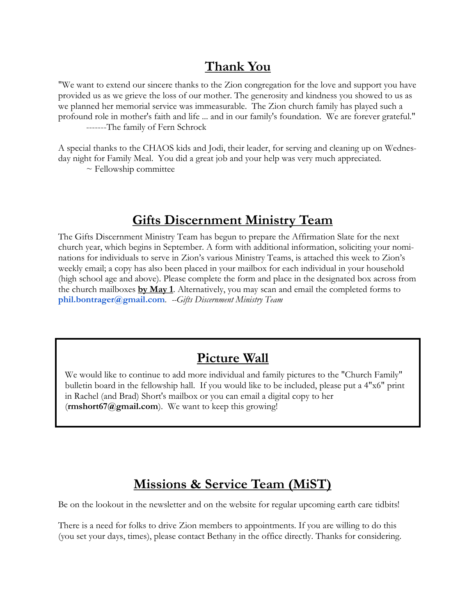#### **Thank You**

"We want to extend our sincere thanks to the Zion congregation for the love and support you have provided us as we grieve the loss of our mother. The generosity and kindness you showed to us as we planned her memorial service was immeasurable. The Zion church family has played such a profound role in mother's faith and life ... and in our family's foundation. We are forever grateful." -------The family of Fern Schrock

A special thanks to the CHAOS kids and Jodi, their leader, for serving and cleaning up on Wednesday night for Family Meal. You did a great job and your help was very much appreciated.

 $\sim$  Fellowship committee

#### **Gifts Discernment Ministry Team**

The Gifts Discernment Ministry Team has begun to prepare the Affirmation Slate for the next church year, which begins in September. A form with additional information, soliciting your nominations for individuals to serve in Zion's various Ministry Teams, is attached this week to Zion's weekly email; a copy has also been placed in your mailbox for each individual in your household (high school age and above). Please complete the form and place in the designated box across from the church mailboxes **by May 1**. Alternatively, you may scan and email the completed forms to **phil.bontrager@gmail.com***. --Gifts Discernment Ministry Team*

#### **Picture Wall**

We would like to continue to add more individual and family pictures to the "Church Family" bulletin board in the fellowship hall. If you would like to be included, please put a 4"x6" print in Rachel (and Brad) Short's mailbox or you can email a digital copy to her (**rmshort67@gmail.com**). We want to keep this growing!

#### **Missions & Service Team (MiST)**

Be on the lookout in the newsletter and on the website for regular upcoming earth care tidbits!

There is a need for folks to drive Zion members to appointments. If you are willing to do this (you set your days, times), please contact Bethany in the office directly. Thanks for considering.